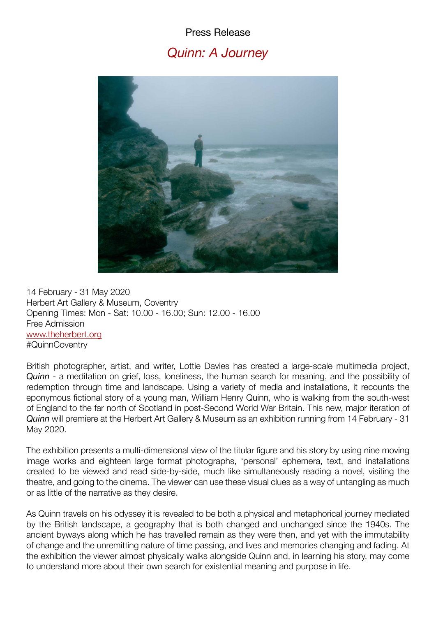## Press Release *Quinn: A Journey*



14 February - 31 May 2020 Herbert Art Gallery & Museum, Coventry Opening Times: Mon - Sat: 10.00 - 16.00; Sun: 12.00 - 16.00 Free Admission [www.theherbert.org](http://www.theherbert.org) #QuinnCoventry

British photographer, artist, and writer, Lottie Davies has created a large-scale multimedia project, *Quinn* - a meditation on grief, loss, loneliness, the human search for meaning, and the possibility of redemption through time and landscape. Using a variety of media and installations, it recounts the eponymous fictional story of a young man, William Henry Quinn, who is walking from the south-west of England to the far north of Scotland in post-Second World War Britain. This new, major iteration of *Quinn* will premiere at the Herbert Art Gallery & Museum as an exhibition running from 14 February - 31 May 2020.

The exhibition presents a multi-dimensional view of the titular figure and his story by using nine moving image works and eighteen large format photographs, 'personal' ephemera, text, and installations created to be viewed and read side-by-side, much like simultaneously reading a novel, visiting the theatre, and going to the cinema. The viewer can use these visual clues as a way of untangling as much or as little of the narrative as they desire.

As Quinn travels on his odyssey it is revealed to be both a physical and metaphorical journey mediated by the British landscape, a geography that is both changed and unchanged since the 1940s. The ancient byways along which he has travelled remain as they were then, and yet with the immutability of change and the unremitting nature of time passing, and lives and memories changing and fading. At the exhibition the viewer almost physically walks alongside Quinn and, in learning his story, may come to understand more about their own search for existential meaning and purpose in life.